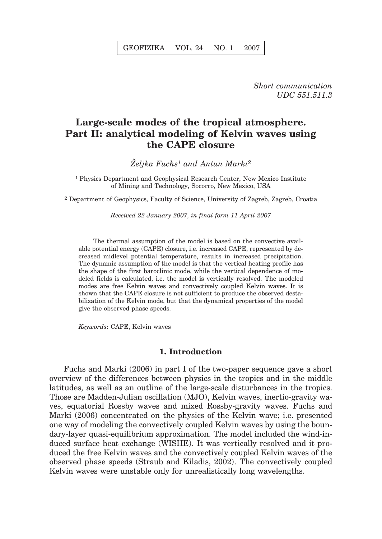*Short communication UDC 551.511.3*

# **Large-scale modes of the tropical atmosphere. Part II: analytical modeling of Kelvin waves using the CAPE closure**

*@eljka Fuchs1 and Antun Marki2*

1 Physics Department and Geophysical Research Center, New Mexico Institute of Mining and Technology, Socorro, New Mexico, USA

2 Department of Geophysics, Faculty of Science, University of Zagreb, Zagreb, Croatia

*Received 22 January 2007, in final form 11 April 2007*

The thermal assumption of the model is based on the convective available potential energy (CAPE) closure, i.e. increased CAPE, represented by decreased midlevel potential temperature, results in increased precipitation. The dynamic assumption of the model is that the vertical heating profile has the shape of the first baroclinic mode, while the vertical dependence of modeled fields is calculated, i.e. the model is vertically resolved. The modeled modes are free Kelvin waves and convectively coupled Kelvin waves. It is shown that the CAPE closure is not sufficient to produce the observed destabilization of the Kelvin mode, but that the dynamical properties of the model give the observed phase speeds.

*Keywords*: CAPE, Kelvin waves

## **1. Introduction**

Fuchs and Marki (2006) in part I of the two-paper sequence gave a short overview of the differences between physics in the tropics and in the middle latitudes, as well as an outline of the large-scale disturbances in the tropics. Those are Madden-Julian oscillation (MJO), Kelvin waves, inertio-gravity waves, equatorial Rossby waves and mixed Rossby-gravity waves. Fuchs and Marki (2006) concentrated on the physics of the Kelvin wave; i.e. presented one way of modeling the convectively coupled Kelvin waves by using the boundary-layer quasi-equilibrium approximation. The model included the wind-induced surface heat exchange (WISHE). It was vertically resolved and it produced the free Kelvin waves and the convectively coupled Kelvin waves of the observed phase speeds (Straub and Kiladis, 2002). The convectively coupled Kelvin waves were unstable only for unrealistically long wavelengths.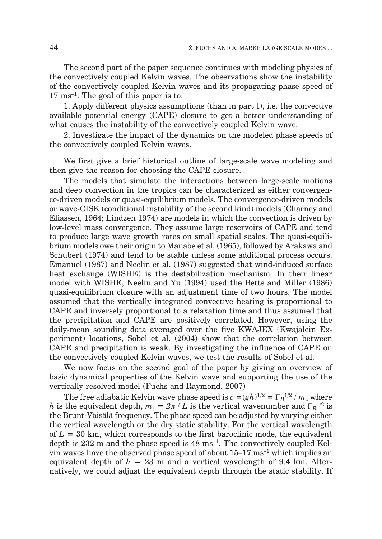The second part of the paper sequence continues with modeling physics of the convectively coupled Kelvin waves. The observations show the instability of the convectively coupled Kelvin waves and its propagating phase speed of 17 ms–1. The goal of this paper is to:

1. Apply different physics assumptions (than in part I), i.e. the convective available potential energy (CAPE) closure to get a better understanding of what causes the instability of the convectively coupled Kelvin wave.

2. Investigate the impact of the dynamics on the modeled phase speeds of the convectively coupled Kelvin waves.

We first give a brief historical outline of large-scale wave modeling and then give the reason for choosing the CAPE closure.

The models that simulate the interactions between large-scale motions and deep convection in the tropics can be characterized as either convergence-driven models or quasi-equilibrium models. The convergence-driven models or wave-CISK (conditional instability of the second kind) models (Charney and Eliassen, 1964; Lindzen 1974) are models in which the convection is driven by low-level mass convergence. They assume large reservoirs of CAPE and tend to produce large wave growth rates on small spatial scales. The quasi-equilibrium models owe their origin to Manabe et al. (1965), followed by Arakawa and Schubert (1974) and tend to be stable unless some additional process occurs. Emanuel (1987) and Neelin et al. (1987) suggested that wind-induced surface heat exchange (WISHE) is the destabilization mechanism. In their linear model with WISHE, Neelin and Yu (1994) used the Betts and Miller (1986) quasi-equilibrium closure with an adjustment time of two hours. The model assumed that the vertically integrated convective heating is proportional to CAPE and inversely proportional to a relaxation time and thus assumed that the precipitation and CAPE are positively correlated. However, using the daily-mean sounding data averaged over the five KWAJEX (Kwajalein Experiment) locations, Sobel et al. (2004) show that the correlation between CAPE and precipitation is weak. By investigating the influence of CAPE on the convectively coupled Kelvin waves, we test the results of Sobel et al.

We now focus on the second goal of the paper by giving an overview of basic dynamical properties of the Kelvin wave and supporting the use of the vertically resolved model (Fuchs and Raymond, 2007)

The free adiabatic Kelvin wave phase speed is  $c = (gh)^{1/2} = \Gamma_B^{1/2} / m_z$  where *h* is the equivalent depth,  $m_z = 2\pi/L$  is the vertical wavenumber and  $\Gamma_B^{1/2}$  is the Brunt-Väisälä frequency. The phase speed can be adjusted by varying either the vertical wavelength or the dry static stability. For the vertical wavelength of *L* = 30 km, which corresponds to the first baroclinic mode, the equivalent depth is 232 m and the phase speed is  $48 \text{ ms}^{-1}$ . The convectively coupled Kelvin waves have the observed phase speed of about  $15-17 \text{ ms}^{-1}$  which implies an equivalent depth of *h* = 23 m and a vertical wavelength of 9.4 km. Alternatively, we could adjust the equivalent depth through the static stability. If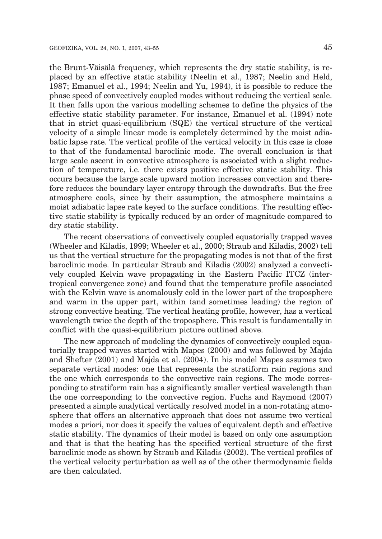the Brunt-Väisälä frequency, which represents the dry static stability, is replaced by an effective static stability (Neelin et al., 1987; Neelin and Held, 1987; Emanuel et al., 1994; Neelin and Yu, 1994), it is possible to reduce the phase speed of convectively coupled modes without reducing the vertical scale. It then falls upon the various modelling schemes to define the physics of the effective static stability parameter. For instance, Emanuel et al. (1994) note that in strict quasi-equilibrium (SQE) the vertical structure of the vertical velocity of a simple linear mode is completely determined by the moist adiabatic lapse rate. The vertical profile of the vertical velocity in this case is close to that of the fundamental baroclinic mode. The overall conclusion is that large scale ascent in convective atmosphere is associated with a slight reduction of temperature, i.e. there exists positive effective static stability. This occurs because the large scale upward motion increases convection and therefore reduces the boundary layer entropy through the downdrafts. But the free atmosphere cools, since by their assumption, the atmosphere maintains a moist adiabatic lapse rate keyed to the surface conditions. The resulting effective static stability is typically reduced by an order of magnitude compared to dry static stability.

The recent observations of convectively coupled equatorially trapped waves (Wheeler and Kiladis, 1999; Wheeler et al., 2000; Straub and Kiladis, 2002) tell us that the vertical structure for the propagating modes is not that of the first baroclinic mode. In particular Straub and Kiladis (2002) analyzed a convectively coupled Kelvin wave propagating in the Eastern Pacific ITCZ (intertropical convergence zone) and found that the temperature profile associated with the Kelvin wave is anomalously cold in the lower part of the troposphere and warm in the upper part, within (and sometimes leading) the region of strong convective heating. The vertical heating profile, however, has a vertical wavelength twice the depth of the troposphere. This result is fundamentally in conflict with the quasi-equilibrium picture outlined above.

The new approach of modeling the dynamics of convectively coupled equatorially trapped waves started with Mapes (2000) and was followed by Majda and Shefter (2001) and Majda et al. (2004). In his model Mapes assumes two separate vertical modes: one that represents the stratiform rain regions and the one which corresponds to the convective rain regions. The mode corresponding to stratiform rain has a significantly smaller vertical wavelength than the one corresponding to the convective region. Fuchs and Raymond (2007) presented a simple analytical vertically resolved model in a non-rotating atmosphere that offers an alternative approach that does not assume two vertical modes a priori, nor does it specify the values of equivalent depth and effective static stability. The dynamics of their model is based on only one assumption and that is that the heating has the specified vertical structure of the first baroclinic mode as shown by Straub and Kiladis (2002). The vertical profiles of the vertical velocity perturbation as well as of the other thermodynamic fields are then calculated.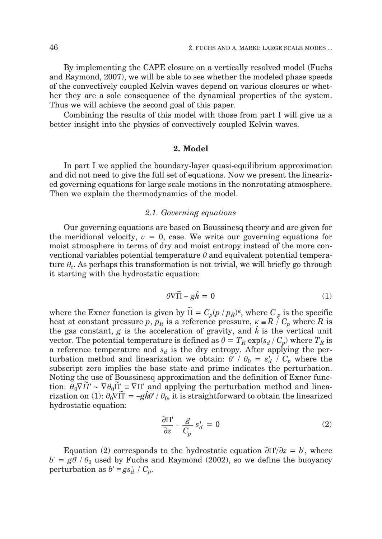By implementing the CAPE closure on a vertically resolved model (Fuchs and Raymond, 2007), we will be able to see whether the modeled phase speeds of the convectively coupled Kelvin waves depend on various closures or whether they are a sole consequence of the dynamical properties of the system. Thus we will achieve the second goal of this paper.

Combining the results of this model with those from part I will give us a better insight into the physics of convectively coupled Kelvin waves.

#### **2. Model**

In part I we applied the boundary-layer quasi-equilibrium approximation and did not need to give the full set of equations. Now we present the linearized governing equations for large scale motions in the nonrotating atmosphere. Then we explain the thermodynamics of the model.

### *2.1. Governing equations*

Our governing equations are based on Boussinesq theory and are given for the meridional velocity,  $v = 0$ , case. We write our governing equations for moist atmosphere in terms of dry and moist entropy instead of the more conventional variables potential temperature  $\theta$  and equivalent potential temperature  $\theta_e$ . As perhaps this transformation is not trivial, we will briefly go through it starting with the hydrostatic equation:

$$
\theta \nabla \widetilde{\Pi} - g \hat{k} = 0 \tag{1}
$$

where the Exner function is given by  $\widetilde{\Pi} = C_p (p / p_R)^{\kappa}$ , where  $C_p$  is the specific heat at constant pressure *p*,  $p_R$  is a reference pressure,  $\kappa = R \dot{/} C_p$  where *R* is the gas constant, g is the acceleration of gravity, and  $\hat{k}$  is the vertical unit vector. The potential temperature is defined as  $\theta = T_R \exp(s_d / C_p)$  where  $T_R$  is a reference temperature and  $s_d$  is the dry entropy. After applying the perturbation method and linearization we obtain:  $\theta' / \theta_0 = s_d' / C_p$  where the subscript zero implies the base state and prime indicates the perturbation subscript zero implies the base state and prime indicates the perturbation. Noting the use of Boussinesq approximation and the definition of Exner function:  $\theta_0 \nabla \tilde{\Pi}' \sim \nabla \theta_0 \tilde{\Pi}' \equiv \nabla \Pi'$  and applying the perturbation method and linea-<br>rization on (1):  $\theta_0 \nabla \tilde{\Pi}' = -\sigma \hat{k} \theta' / \theta_0$  it is straightforward to obtain the linearized rization on (1):  $\theta_0 \nabla \Pi = -g\hat{k}\theta' / \theta_0$ , it is straightforward to obtain the linearized hydrostatic equation: hydrostatic equation:

$$
\frac{\partial \Pi'}{\partial z} - \frac{g}{C_p} s_d = 0 \tag{2}
$$

Equation (2) corresponds to the hydrostatic equation  $\frac{\partial \Pi}{\partial z} = b'$ , where  $b' = g\theta' / \theta_0$  used by Fuchs and Raymond (2002), so we define the buoyancy perturbation as  $b' \equiv gs_d^+ / C_p$ .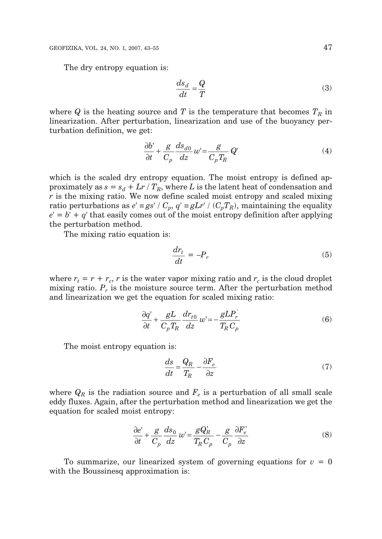The dry entropy equation is:

$$
\frac{ds_d}{dt} = \frac{Q}{T} \tag{3}
$$

where  $Q$  is the heating source and  $T$  is the temperature that becomes  $T_R$  in linearization. After perturbation, linearization and use of the buoyancy perturbation definition, we get:

$$
\frac{\partial b'}{\partial t} + \frac{g}{C_p} \frac{ds_{d0}}{dz} w' = \frac{g}{C_p T_R} Q'
$$
 (4)

which is the scaled dry entropy equation. The moist entropy is defined approximately as  $s = s_d + Lr / T_R$ , where *L* is the latent heat of condensation and *r* is the mixing ratio. We now define scaled moist entropy and scaled mixing ratio perturbations as  $e' \equiv gs' / C_p$ ,  $q' \equiv g L r' / (C_p T_R)$ , maintaining the equality  $e' = b' + q'$  that easily comes out of the moist entropy definition after applying the perturbation method.

The mixing ratio equation is:

$$
\frac{dr_t}{dt} = -P_r \tag{5}
$$

where  $r_t = r + r_c$ , *r* is the water vapor mixing ratio and  $r_c$  is the cloud droplet mixing ratio.  $P_r$  is the moisture source term. After the perturbation method and linearization we get the equation for scaled mixing ratio:

$$
\frac{\partial q'}{\partial t} + \frac{gL}{C_p T_R} \frac{dr_{t0}}{dz} w' = -\frac{gLP_r}{T_R C_p} \tag{6}
$$

The moist entropy equation is:

$$
\frac{ds}{dt} = \frac{Q_R}{T_R} - \frac{\partial F_e}{\partial z} \tag{7}
$$

where  $Q_R$  is the radiation source and  $F_e$  is a perturbation of all small scale eddy fluxes. Again, after the perturbation method and linearization we get the equation for scaled moist entropy:

$$
\frac{\partial e'}{\partial t} + \frac{g}{C_p} \frac{ds_0}{dz} w' = \frac{gQ'_R}{T_R C_p} - \frac{g}{C_p} \frac{\partial F'_e}{\partial z}
$$
(8)

To summarize, our linearized system of governing equations for  $v = 0$ with the Boussinesq approximation is: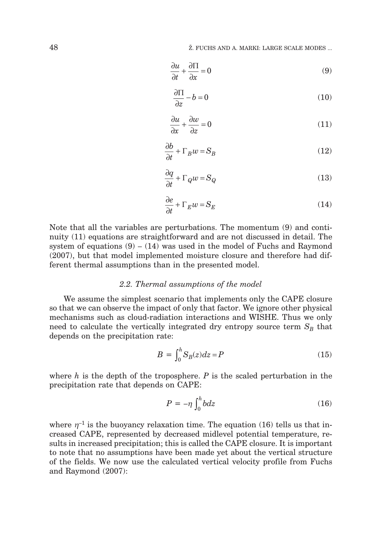$$
\frac{\partial u}{\partial t} + \frac{\partial \Pi}{\partial x} = 0\tag{9}
$$

$$
\frac{\partial \Pi}{\partial z} - b = 0 \tag{10}
$$

$$
\frac{\partial u}{\partial x} + \frac{\partial w}{\partial z} = 0\tag{11}
$$

$$
\frac{\partial b}{\partial t} + \Gamma_B w = S_B \tag{12}
$$

$$
\frac{\partial q}{\partial t} + \Gamma_Q w = S_Q \tag{13}
$$

$$
\frac{\partial e}{\partial t} + \Gamma_E w = S_E \tag{14}
$$

Note that all the variables are perturbations. The momentum (9) and continuity (11) equations are straightforward and are not discussed in detail. The system of equations  $(9) - (14)$  was used in the model of Fuchs and Raymond (2007), but that model implemented moisture closure and therefore had different thermal assumptions than in the presented model.

#### *2.2. Thermal assumptions of the model*

We assume the simplest scenario that implements only the CAPE closure so that we can observe the impact of only that factor. We ignore other physical mechanisms such as cloud-radiation interactions and WISHE. Thus we only need to calculate the vertically integrated dry entropy source term  $S_B$  that depends on the precipitation rate:

$$
B = \int_0^h S_B(z)dz = P \tag{15}
$$

where *h* is the depth of the troposphere. *P* is the scaled perturbation in the precipitation rate that depends on CAPE:

$$
P = -\eta \int_0^h b dz \tag{16}
$$

where  $\eta^{-1}$  is the buoyancy relaxation time. The equation (16) tells us that increased CAPE, represented by decreased midlevel potential temperature, results in increased precipitation; this is called the CAPE closure. It is important to note that no assumptions have been made yet about the vertical structure of the fields. We now use the calculated vertical velocity profile from Fuchs and Raymond (2007):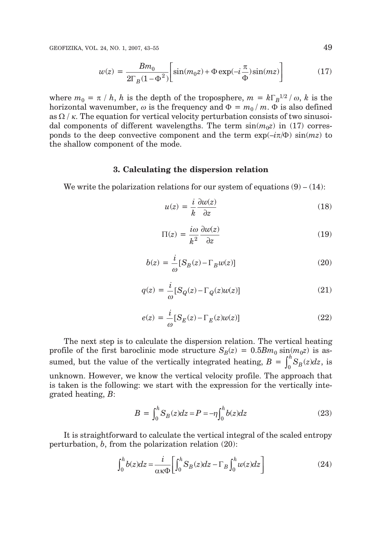GEOFIZIKA, VOL. 24, NO. 1, 2007, 43–55 49

$$
w(z) = \frac{Bm_0}{2\Gamma_B(1-\Phi^2)} \left[ \sin(m_0 z) + \Phi \exp(-i\frac{\pi}{\Phi})\sin(mz) \right]
$$
(17)

where  $m_0 = \pi / h$ , *h* is the depth of the troposphere,  $m = k \Gamma_B^{1/2} / \omega$ , *k* is the horizontal wavenumber,  $\omega$  is the frequency and  $\Phi = m_0 / m$ .  $\Phi$  is also defined as  $\Omega$  /  $\kappa$ . The equation for vertical velocity perturbation consists of two sinusoidal components of different wavelengths. The term  $\sin(m_0z)$  in (17) corresponds to the deep convective component and the term  $\exp(-i\pi/\Phi)\sin(mz)$  to the shallow component of the mode.

#### **3. Calculating the dispersion relation**

We write the polarization relations for our system of equations  $(9) - (14)$ :

$$
u(z) = \frac{i}{k} \frac{\partial w(z)}{\partial z} \tag{18}
$$

$$
\Pi(z) = \frac{i\omega}{k^2} \frac{\partial w(z)}{\partial z} \tag{19}
$$

$$
b(z) = \frac{i}{\omega} [S_B(z) - \Gamma_B w(z)] \tag{20}
$$

$$
q(z) = \frac{i}{\omega} [S_Q(z) - \Gamma_Q(z)w(z)] \tag{21}
$$

$$
e(z) = \frac{i}{\omega} [S_E(z) - \Gamma_E(z)w(z)] \tag{22}
$$

The next step is to calculate the dispersion relation. The vertical heating profile of the first baroclinic mode structure  $S_B(z) = 0.5Bm_0 \sin(m_0 z)$  is assumed, but the value of the vertically integrated heating,  $B = \int_0^h S_B(z) dz$ , is unknown. However, we know the vertical velocity profile. The approach that is taken is the following: we start with the expression for the vertically integrated heating, *B*:

$$
B = \int_0^h S_B(z)dz = P = -\eta \int_0^h b(z)dz \tag{23}
$$

It is straightforward to calculate the vertical integral of the scaled entropy perturbation, *b*, from the polarization relation (20):

$$
\int_0^h b(z)dz = \frac{i}{\alpha \kappa \Phi} \bigg[ \int_0^h S_B(z)dz - \Gamma_B \int_0^h w(z)dz \bigg] \tag{24}
$$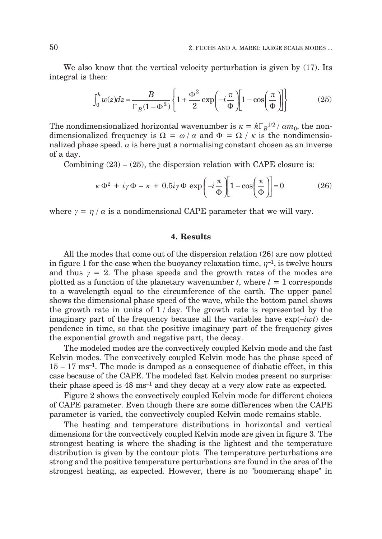We also know that the vertical velocity perturbation is given by  $(17)$ . Its integral is then:

$$
\int_0^h w(z)dz = \frac{B}{\Gamma_B(1-\Phi^2)} \left\{ 1 + \frac{\Phi^2}{2} \exp\left(-i\frac{\pi}{\Phi}\right) \left[1 - \cos\left(\frac{\pi}{\Phi}\right)\right] \right\}
$$
(25)

The nondimensionalized horizontal wavenumber is  $\kappa = k\Gamma_B^{1/2}/\alpha m_0$ , the nondimensionalized frequency is  $\Omega = \omega / \alpha$  and  $\Phi = \Omega / \kappa$  is the nondimensionalized phase speed.  $\alpha$  is here just a normalising constant chosen as an inverse of a day.

Combining  $(23) - (25)$ , the dispersion relation with CAPE closure is:

$$
\kappa \Phi^2 + i\gamma \Phi - \kappa + 0.5i\gamma \Phi \exp\left(-i\frac{\pi}{\Phi}\right) \left[1 - \cos\left(\frac{\pi}{\Phi}\right)\right] = 0
$$
 (26)

where  $\gamma = \eta / \alpha$  is a nondimensional CAPE parameter that we will vary.

#### **4. Results**

All the modes that come out of the dispersion relation (26) are now plotted in figure 1 for the case when the buoyancy relaxation time,  $n^{-1}$ , is twelve hours and thus  $\gamma = 2$ . The phase speeds and the growth rates of the modes are plotted as a function of the planetary wavenumber  $l$ , where  $l = 1$  corresponds to a wavelength equal to the circumference of the earth. The upper panel shows the dimensional phase speed of the wave, while the bottom panel shows the growth rate in units of  $1/day$ . The growth rate is represented by the imaginary part of the frequency because all the variables have exp(–*iwt*) dependence in time, so that the positive imaginary part of the frequency gives the exponential growth and negative part, the decay.

The modeled modes are the convectively coupled Kelvin mode and the fast Kelvin modes. The convectively coupled Kelvin mode has the phase speed of  $15 - 17$  ms<sup>-1</sup>. The mode is damped as a consequence of diabatic effect, in this case because of the CAPE. The modeled fast Kelvin modes present no surprise: their phase speed is  $48 \text{ ms}^{-1}$  and they decay at a very slow rate as expected.

Figure 2 shows the convectively coupled Kelvin mode for different choices of CAPE parameter. Even though there are some differences when the CAPE parameter is varied, the convectively coupled Kelvin mode remains stable.

The heating and temperature distributions in horizontal and vertical dimensions for the convectively coupled Kelvin mode are given in figure 3. The strongest heating is where the shading is the lightest and the temperature distribution is given by the contour plots. The temperature perturbations are strong and the positive temperature perturbations are found in the area of the strongest heating, as expected. However, there is no "boomerang shape" in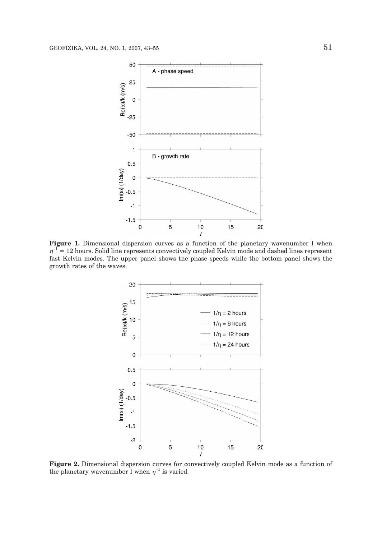

**Figure 1.** Dimensional dispersion curves as a function of the planetary wavenumber l when  $\eta^{-1}$  = 12 hours. Solid line represents convectively coupled Kelvin mode and dashed lines represent fast Kelvin modes. The upper panel shows the phase speeds while the bottom panel shows the growth rates of the waves.



**Figure 2.** Dimensional dispersion curves for convectively coupled Kelvin mode as a function of the planetary wavenumber l when  $\eta^{-1}$  is varied.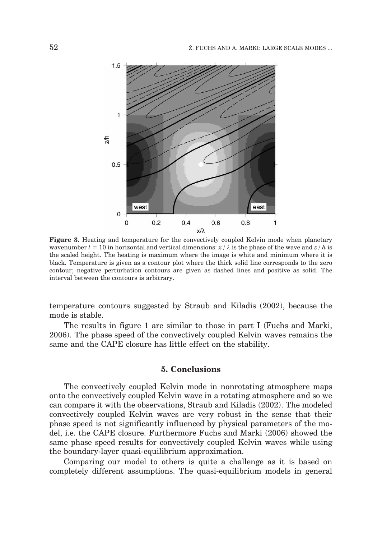

**Figure 3.** Heating and temperature for the convectively coupled Kelvin mode when planetary wavenumber  $l = 10$  in horizontal and vertical dimensions:  $x / \lambda$  is the phase of the wave and  $z / h$  is the scaled height. The heating is maximum where the image is white and minimum where it is black. Temperature is given as a contour plot where the thick solid line corresponds to the zero contour; negative perturbation contours are given as dashed lines and positive as solid. The interval between the contours is arbitrary.

temperature contours suggested by Straub and Kiladis (2002), because the mode is stable.

The results in figure 1 are similar to those in part I (Fuchs and Marki, 2006). The phase speed of the convectively coupled Kelvin waves remains the same and the CAPE closure has little effect on the stability.

## **5. Conclusions**

The convectively coupled Kelvin mode in nonrotating atmosphere maps onto the convectively coupled Kelvin wave in a rotating atmosphere and so we can compare it with the observations, Straub and Kiladis (2002). The modeled convectively coupled Kelvin waves are very robust in the sense that their phase speed is not significantly influenced by physical parameters of the model, i.e. the CAPE closure. Furthermore Fuchs and Marki (2006) showed the same phase speed results for convectively coupled Kelvin waves while using the boundary-layer quasi-equilibrium approximation.

Comparing our model to others is quite a challenge as it is based on completely different assumptions. The quasi-equilibrium models in general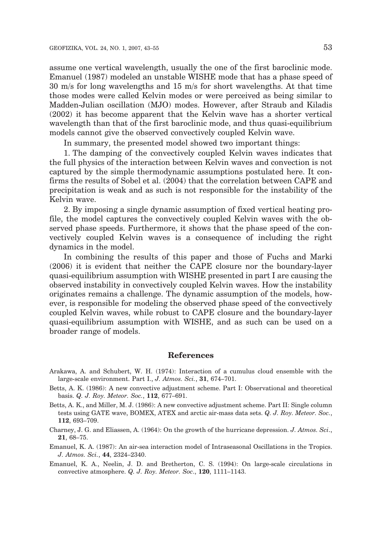assume one vertical wavelength, usually the one of the first baroclinic mode. Emanuel (1987) modeled an unstable WISHE mode that has a phase speed of 30 m/s for long wavelengths and 15 m/s for short wavelengths. At that time those modes were called Kelvin modes or were perceived as being similar to Madden-Julian oscillation (MJO) modes. However, after Straub and Kiladis (2002) it has become apparent that the Kelvin wave has a shorter vertical wavelength than that of the first baroclinic mode, and thus quasi-equilibrium models cannot give the observed convectively coupled Kelvin wave.

In summary, the presented model showed two important things:

1. The damping of the convectively coupled Kelvin waves indicates that the full physics of the interaction between Kelvin waves and convection is not captured by the simple thermodynamic assumptions postulated here. It confirms the results of Sobel et al. (2004) that the correlation between CAPE and precipitation is weak and as such is not responsible for the instability of the Kelvin wave.

2. By imposing a single dynamic assumption of fixed vertical heating profile, the model captures the convectively coupled Kelvin waves with the observed phase speeds. Furthermore, it shows that the phase speed of the convectively coupled Kelvin waves is a consequence of including the right dynamics in the model.

In combining the results of this paper and those of Fuchs and Marki (2006) it is evident that neither the CAPE closure nor the boundary-layer quasi-equilibrium assumption with WISHE presented in part I are causing the observed instability in convectively coupled Kelvin waves. How the instability originates remains a challenge. The dynamic assumption of the models, however, is responsible for modeling the observed phase speed of the convectively coupled Kelvin waves, while robust to CAPE closure and the boundary-layer quasi-equilibrium assumption with WISHE, and as such can be used on a broader range of models.

#### **References**

- Arakawa, A. and Schubert, W. H. (1974): Interaction of a cumulus cloud ensemble with the large-scale environment. Part I., *J. Atmos. Sci.*, **31**, 674–701.
- Betts, A. K. (1986): A new convective adjustment scheme. Part I: Observational and theoretical basis. *Q. J. Roy. Meteor. Soc.*, **112**, 677–691.
- Betts, A. K., and Miller, M. J. (1986): A new convective adjustment scheme. Part II: Single column tests using GATE wave, BOMEX, ATEX and arctic air-mass data sets. *Q. J. Roy. Meteor. Soc.*, **112**, 693–709.
- Charney, J. G. and Eliassen, A. (1964): On the growth of the hurricane depression. *J. Atmos. Sci*., **21**, 68–75.
- Emanuel, K. A. (1987): An air-sea interaction model of Intraseasonal Oscillations in the Tropics. *J. Atmos. Sci.*, **44**, 2324–2340.
- Emanuel, K. A., Neelin, J. D. and Bretherton, C. S. (1994): On large-scale circulations in convective atmosphere. *Q. J. Roy. Meteor. Soc*., **120**, 1111–1143.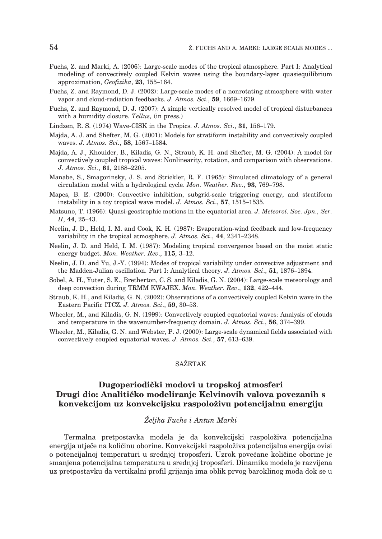- Fuchs, Z. and Marki, A. (2006): Large-scale modes of the tropical atmosphere. Part I: Analytical modeling of convectively coupled Kelvin waves using the boundary-layer quasiequilibrium approximation, *Geofizika*, **23**, 155–164.
- Fuchs, Z. and Raymond, D. J. (2002): Large-scale modes of a nonrotating atmosphere with water vapor and cloud-radiation feedbacks. *J. Atmos. Sci.*, **59**, 1669–1679.
- Fuchs, Z. and Raymond, D. J. (2007): A simple vertically resolved model of tropical disturbances with a humidity closure. *Tellus,* (in press.)
- Lindzen, R. S. (1974) Wave-CISK in the Tropics. *J. Atmos. Sci*., **31**, 156–179.
- Majda, A. J. and Shefter, M. G. (2001): Models for stratiform instability and convectively coupled waves. *J. Atmos. Sci.*, **58**, 1567–1584.
- Majda, A. J., Khouider, B., Kiladis, G. N., Straub, K. H. and Shefter, M. G. (2004): A model for convectively coupled tropical waves: Nonlinearity, rotation, and comparison with observations. *J. Atmos. Sci.*, **61**, 2188–2205.
- Manabe, S., Smagorinsky, J. S. and Strickler, R. F. (1965): Simulated climatology of a general circulation model with a hydrological cycle. *Mon. Weather. Rev.*, **93**, 769–798.
- Mapes, B. E. (2000): Convective inhibition, subgrid-scale triggering energy, and stratiform instability in a toy tropical wave model. *J. Atmos. Sci*., **57**, 1515–1535.
- Matsuno, T. (1966): Quasi-geostrophic motions in the equatorial area. *J. Meteorol. Soc. Jpn., Ser. II*, **44**, 25–43.
- Neelin, J. D., Held, I. M. and Cook, K. H. (1987): Evaporation-wind feedback and low-frequency variability in the tropical atmosphere. *J. Atmos. Sci*., **44**, 2341–2348.
- Neelin, J. D. and Held, I. M. (1987): Modeling tropical convergence based on the moist static energy budget. *Mon. Weather. Rev*., **115**, 3–12.
- Neelin, J. D. and Yu, J.-Y. (1994): Modes of tropical variability under convective adjustment and the Madden-Julian oscillation. Part I: Analytical theory. *J. Atmos. Sci*., **51**, 1876–1894.
- Sobel, A. H., Yuter, S. E., Bretherton, C. S. and Kiladis, G. N. (2004): Large-scale meteorology and deep convection during TRMM KWAJEX. *Mon. Weather. Rev*., **132**, 422–444.
- Straub, K. H., and Kiladis, G. N. (2002): Observations of a convectively coupled Kelvin wave in the Eastern Pacific ITCZ. *J. Atmos. Sci*., **59**, 30–53.
- Wheeler, M., and Kiladis, G. N. (1999): Convectively coupled equatorial waves: Analysis of clouds and temperature in the wavenumber-frequency domain. *J. Atmos. Sci*., **56**, 374–399.
- Wheeler, M., Kiladis, G. N. and Webster, P. J. (2000): Large-scale dynamical fields associated with convectively coupled equatorial waves. *J. Atmos. Sci.*, **57**, 613–639.

## SAŽETAK

## Dugoperiodički modovi u tropskoj atmosferi **Drugi dio: Analiti~ko modeliranje Kelvinovih valova povezanih s konvekcijom uz konvekcijsku raspolo`ivu potencijalnu energiju**

## *@eljka Fuchs i Antun Marki*

Termalna pretpostavka modela je da konvekcijski raspoloživa potencijalna energija utječe na količinu oborine. Konvekcijski raspoloživa potencijalna energija ovisi o potencijalnoj temperaturi u srednjoj troposferi. Uzrok povećane količine oborine je smanjena potencijalna temperatura u srednjoj troposferi. Dinamika modela je razvijena uz pretpostavku da vertikalni profil grijanja ima oblik prvog baroklinog moda dok se u